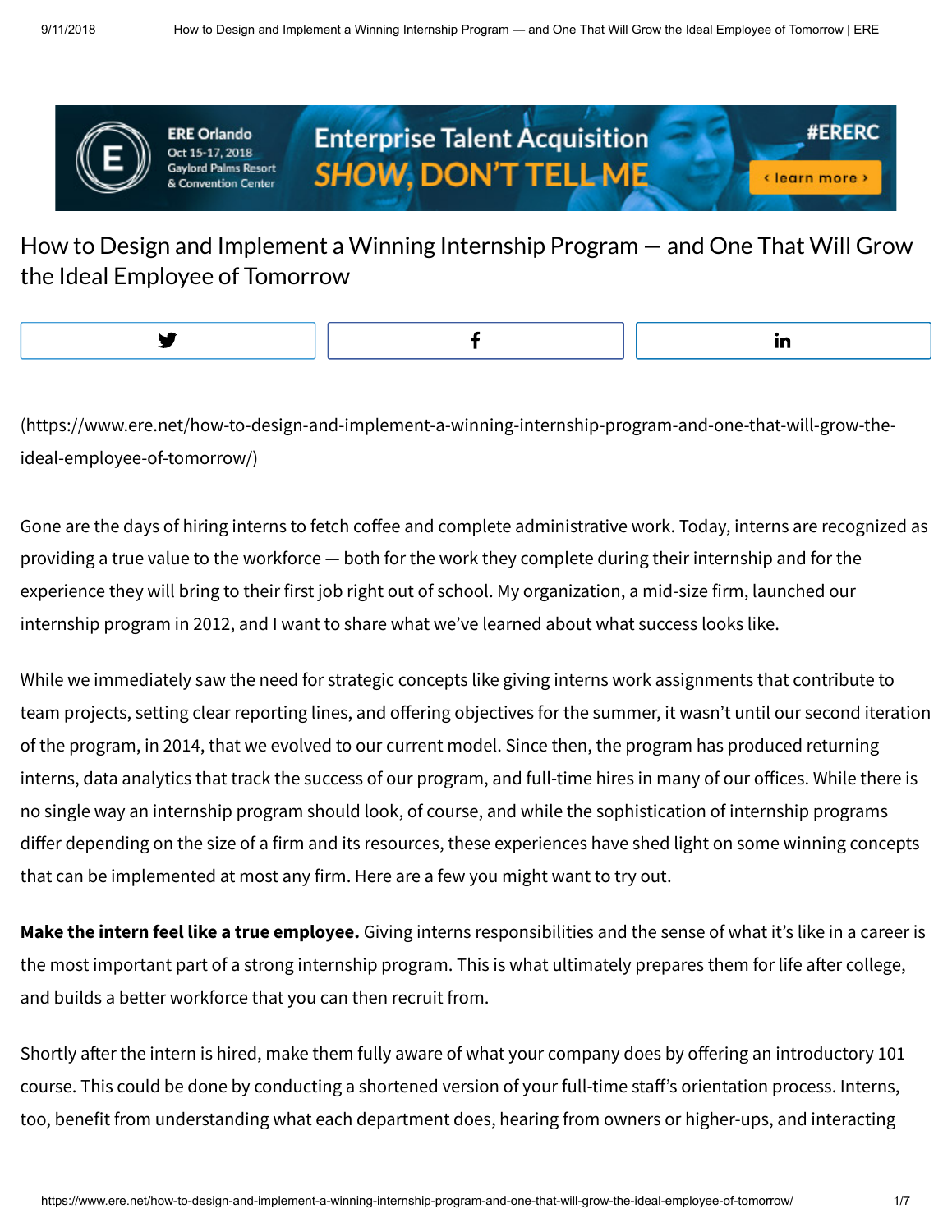

**ERE Orlando** Oct 15-17, 2018 lord Palms Resort





**#FRFRC** 

How to Design and Implement a Winning Internship Program — and One That Will Grow the Ideal Employee of Tomorrow

[\(https://www.ere.net/how-to-design-and-implement-a-winning-internship-program-and-one-that-will-grow-the](https://www.ere.net/how-to-design-and-implement-a-winning-internship-program-and-one-that-will-grow-the-ideal-employee-of-tomorrow/)ideal-employee-of-tomorrow/)

Gone are the days of hiring interns to fetch coffee and complete administrative work. Today, interns are recognized as providing a true value to the workforce — both for the work they complete during their internship and for the experience they will bring to their first job right out of school. My organization, a mid-size firm, launched our internship program in 2012, and I want to share what we've learned about what success looks like.

While we immediately saw the need for strategic concepts like giving interns work assignments that contribute to team projects, setting clear reporting lines, and offering objectives for the summer, it wasn't until our second iteration of the program, in 2014, that we evolved to our current model. Since then, the program has produced returning interns, data analytics that track the success of our program, and full-time hires in many of our offices. While there is no single way an internship program should look, of course, and while the sophistication of internship programs differ depending on the size of a firm and its resources, these experiences have shed light on some winning concepts that can be implemented at most any firm. Here are a few you might want to try out.

**Make the intern feel like a true employee.** Giving interns responsibilities and the sense of what it's like in a career is the most important part of a strong internship program. This is what ultimately prepares them for life after college, and builds a better workforce that you can then recruit from.

Shortly after the intern is hired, make them fully aware of what your company does by offering an introductory 101 course. This could be done by conducting a shortened version of your full-time staff's orientation process. Interns, too, benefit from understanding what each department does, hearing from owners or higher-ups, and interacting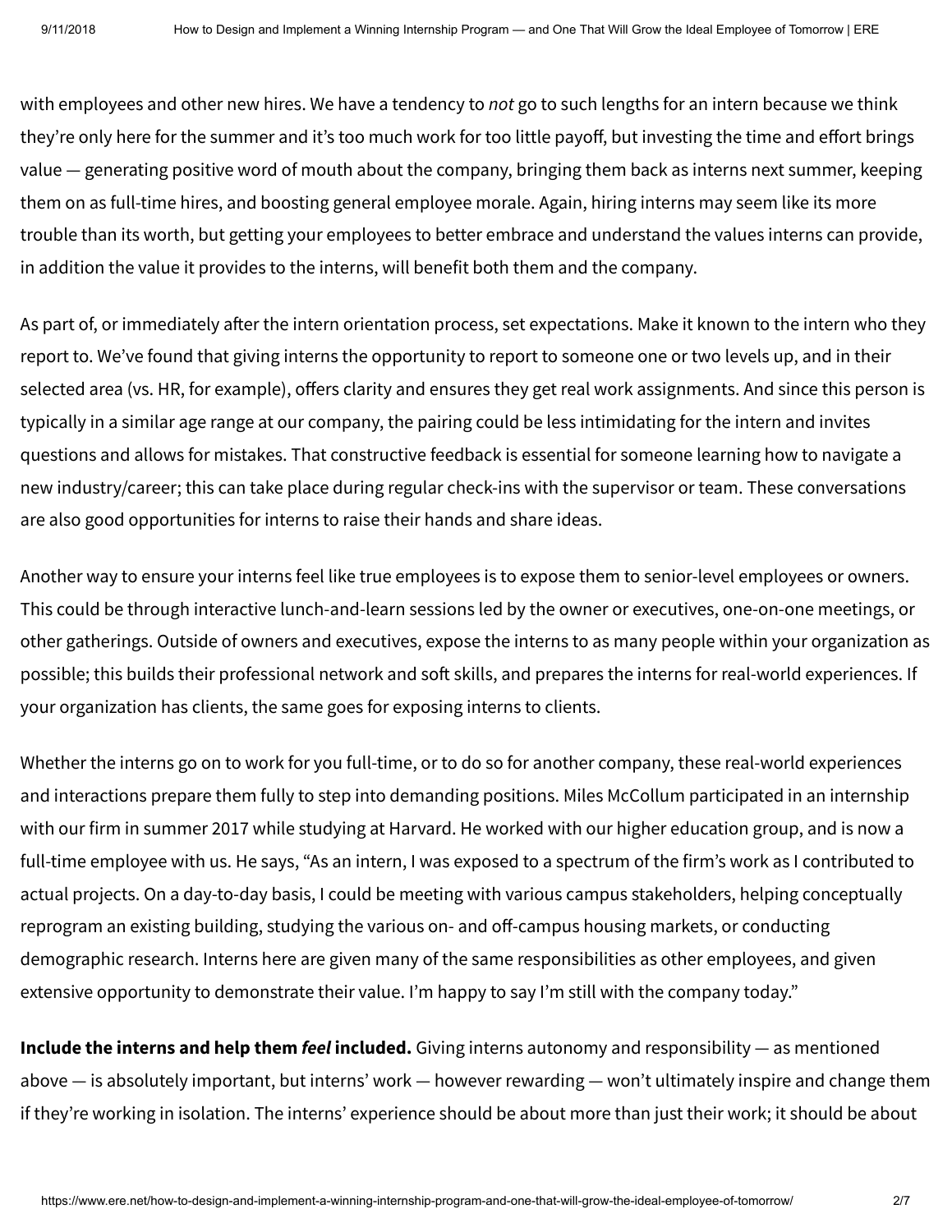with employees and other new hires. We have a tendency to *not* go to such lengths for an intern because we think they're only here for the summer and it's too much work for too little payoff, but investing the time and effort brings value — generating positive word of mouth about the company, bringing them back as interns next summer, keeping them on as full-time hires, and boosting general employee morale. Again, hiring interns may seem like its more trouble than its worth, but getting your employees to better embrace and understand the values interns can provide, in addition the value it provides to the interns, will benefit both them and the company.

As part of, or immediately after the intern orientation process, set expectations. Make it known to the intern who they report to. We've found that giving interns the opportunity to report to someone one or two levels up, and in their selected area (vs. HR, for example), offers clarity and ensures they get real work assignments. And since this person is typically in a similar age range at our company, the pairing could be less intimidating for the intern and invites questions and allows for mistakes. That constructive feedback is essential for someone learning how to navigate a new industry/career; this can take place during regular check-ins with the supervisor or team. These conversations are also good opportunities for interns to raise their hands and share ideas.

Another way to ensure your interns feel like true employees is to expose them to senior-level employees or owners. This could be through interactive lunch-and-learn sessions led by the owner or executives, one-on-one meetings, or other gatherings. Outside of owners and executives, expose the interns to as many people within your organization as possible; this builds their professional network and soft skills, and prepares the interns for real-world experiences. If your organization has clients, the same goes for exposing interns to clients.

Whether the interns go on to work for you full-time, or to do so for another company, these real-world experiences and interactions prepare them fully to step into demanding positions. Miles McCollum participated in an internship with our firm in summer 2017 while studying at Harvard. He worked with our higher education group, and is now a full-time employee with us. He says, "As an intern, I was exposed to a spectrum of the firm's work as I contributed to actual projects. On a day-to-day basis, I could be meeting with various campus stakeholders, helping conceptually reprogram an existing building, studying the various on- and off-campus housing markets, or conducting demographic research. Interns here are given many of the same responsibilities as other employees, and given extensive opportunity to demonstrate their value. I'm happy to say I'm still with the company today."

**Include the interns and help them** *feel* **included.** Giving interns autonomy and responsibility — as mentioned above — is absolutely important, but interns' work — however rewarding — won't ultimately inspire and change them if they're working in isolation. The interns' experience should be about more than just their work; it should be about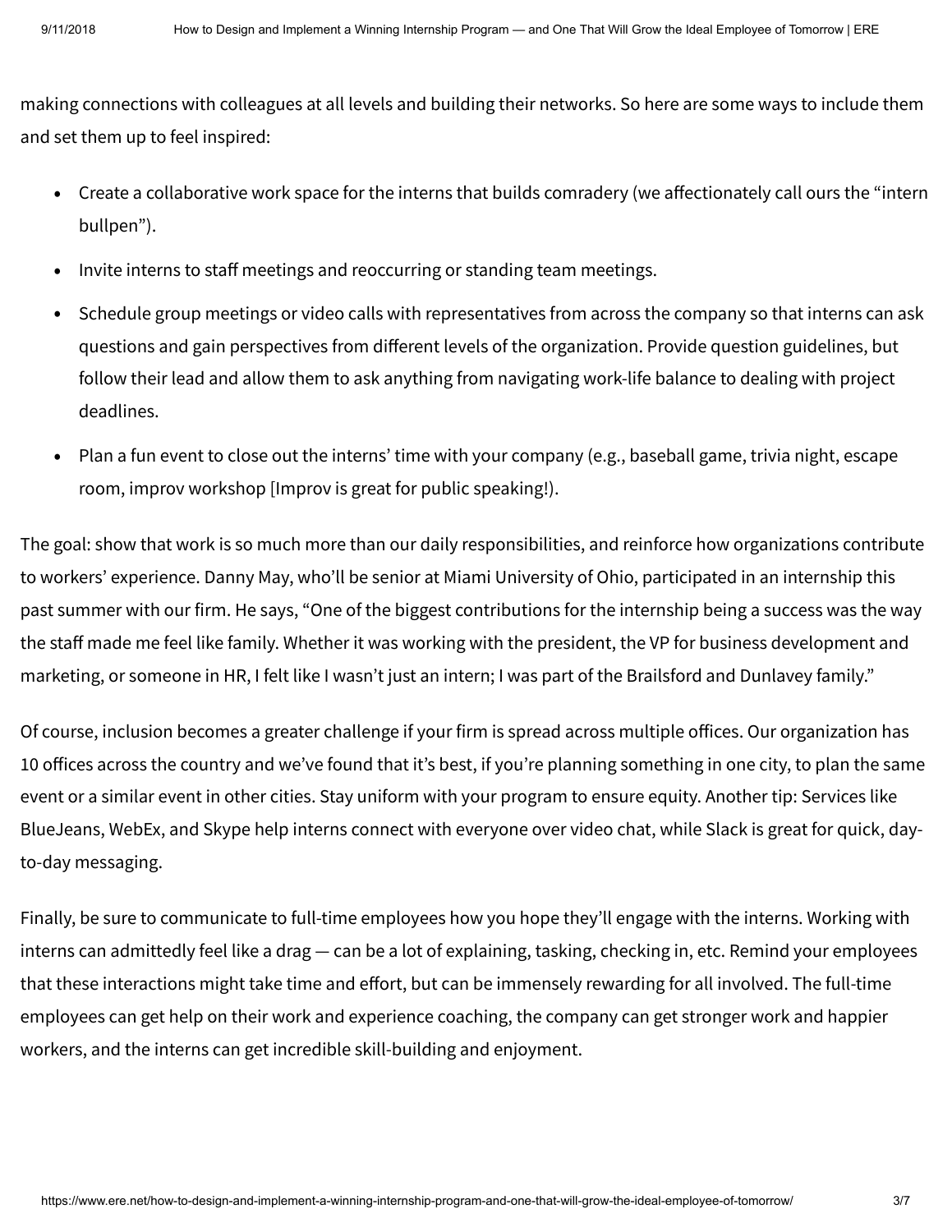making connections with colleagues at all levels and building their networks. So here are some ways to include them and set them up to feel inspired:

- Create a collaborative work space for the interns that builds comradery (we affectionately call ours the "intern bullpen").
- Invite interns to staff meetings and reoccurring or standing team meetings.
- Schedule group meetings or video calls with representatives from across the company so that interns can ask questions and gain perspectives from different levels of the organization. Provide question guidelines, but follow their lead and allow them to ask anything from navigating work-life balance to dealing with project deadlines.
- Plan a fun event to close out the interns' time with your company (e.g., baseball game, trivia night, escape room, improv workshop [Improv is great for public speaking!). •

The goal: show that work is so much more than our daily responsibilities, and reinforce how organizations contribute to workers' experience. Danny May, who'll be senior at Miami University of Ohio, participated in an internship this past summer with our firm. He says, "One of the biggest contributions for the internship being a success was the way the staff made me feel like family. Whether it was working with the president, the VP for business development and marketing, or someone in HR, I felt like I wasn't just an intern; I was part of the Brailsford and Dunlavey family."

Of course, inclusion becomes a greater challenge if your firm is spread across multiple offices. Our organization has 10 offices across the country and we've found that it's best, if you're planning something in one city, to plan the same event or a similar event in other cities. Stay uniform with your program to ensure equity. Another tip: Services like BlueJeans, WebEx, and Skype help interns connect with everyone over video chat, while Slack is great for quick, dayto-day messaging.

Finally, be sure to communicate to full-time employees how you hope they'll engage with the interns. Working with interns can admittedly feel like a drag — can be a lot of explaining, tasking, checking in, etc. Remind your employees that these interactions might take time and effort, but can be immensely rewarding for all involved. The full-time employees can get help on their work and experience coaching, the company can get stronger work and happier workers, and the interns can get incredible skill-building and enjoyment.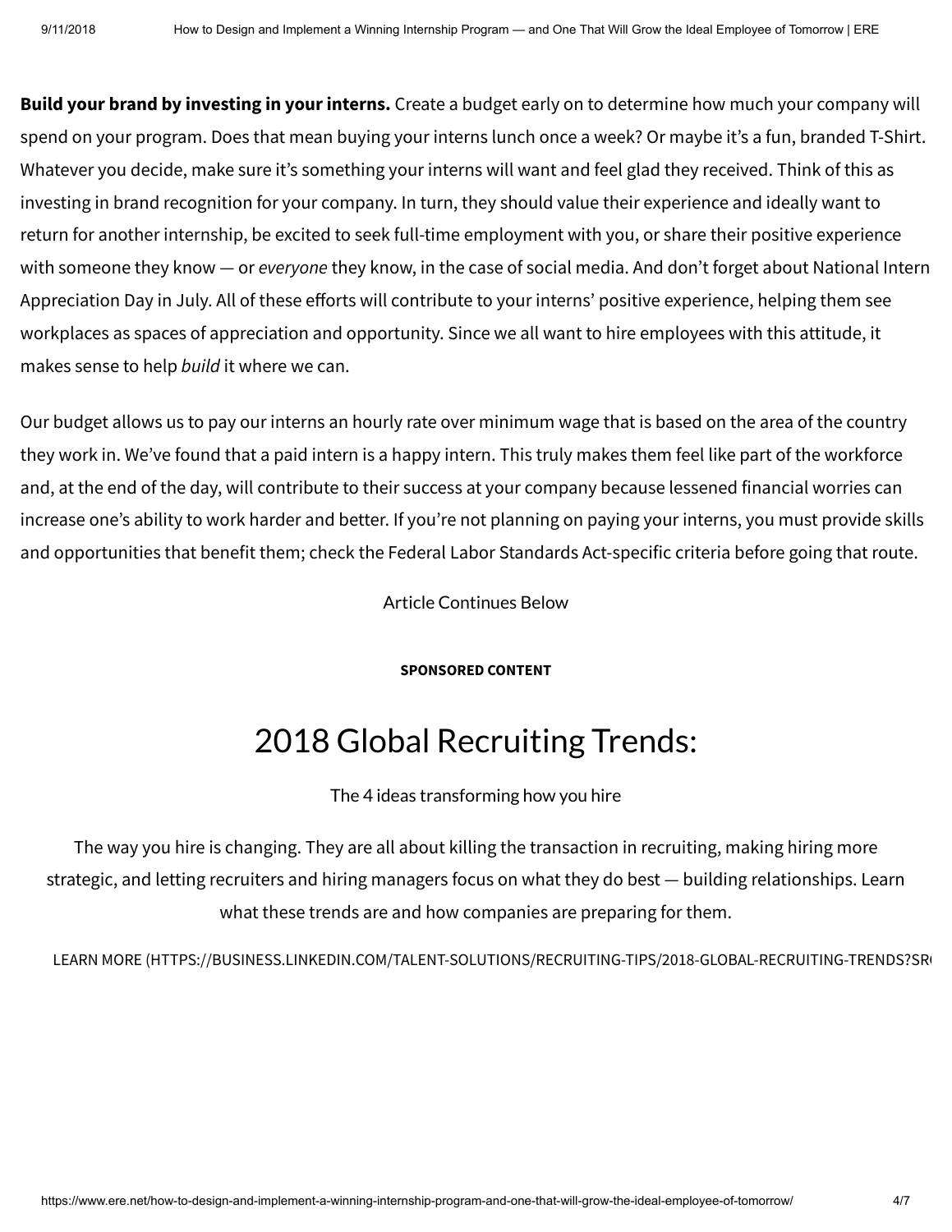**Build your brand by investing in your interns.** Create a budget early on to determine how much your company will spend on your program. Does that mean buying your interns lunch once a week? Or maybe it's a fun, branded T-Shirt. Whatever you decide, make sure it's something your interns will want and feel glad they received. Think of this as investing in brand recognition for your company. In turn, they should value their experience and ideally want to return for another internship, be excited to seek full-time employment with you, or share their positive experience with someone they know — or *everyone* they know, in the case of social media. And don't forget about National Intern Appreciation Day in July. All of these efforts will contribute to your interns' positive experience, helping them see workplaces as spaces of appreciation and opportunity. Since we all want to hire employees with this attitude, it makes sense to help *build* it where we can.

Our budget allows us to pay our interns an hourly rate over minimum wage that is based on the area of the country they work in. We've found that a paid intern is a happy intern. This truly makes them feel like part of the workforce and, at the end of the day, will contribute to their success at your company because lessened financial worries can increase one's ability to work harder and better. If you're not planning on paying your interns, you must provide skills and opportunities that benefit them; check the Federal Labor Standards Act-specific criteria before going that route.

Article Continues Below

**SPONSORED CONTENT**

## 2018 Global Recruiting Trends:

The 4 ideas transforming how you hire

The way you hire is changing. They are all about killing the transaction in recruiting, making hiring more strategic, and letting recruiters and hiring managers focus on what they do best — building relationships. Learn what these trends are and how companies are preparing for them.

LEARN MORE (HTTPS://BUSINESS.LINKEDIN.COM/TALENT-SOLUTIONS/RECRUITING-TIPS/2018-GLOBAL-RECRUITING-TRENDS?SRO